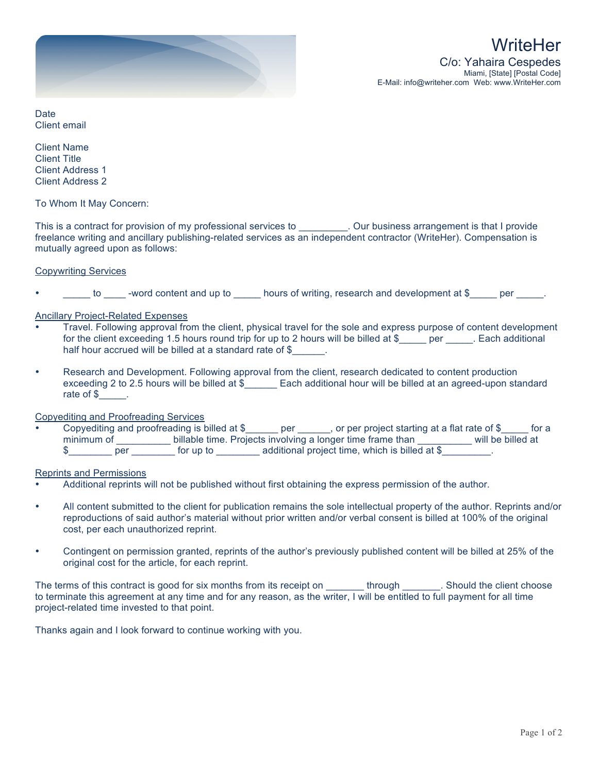

**Date** Client email

Client Name Client Title Client Address 1 Client Address 2

To Whom It May Concern:

This is a contract for provision of my professional services to \_\_\_\_\_\_\_\_\_. Our business arrangement is that I provide freelance writing and ancillary publishing-related services as an independent contractor (WriteHer). Compensation is mutually agreed upon as follows:

## Copywriting Services

to -word content and up to burs of writing, research and development at \$ \_\_\_\_\_ per \_\_\_\_.

## Ancillary Project-Related Expenses

- Travel. Following approval from the client, physical travel for the sole and express purpose of content development for the client exceeding 1.5 hours round trip for up to 2 hours will be billed at \$\_\_\_\_\_ per \_\_\_\_\_. Each additional half hour accrued will be billed at a standard rate of \$\_\_\_\_\_\_.
- Research and Development. Following approval from the client, research dedicated to content production exceeding 2 to 2.5 hours will be billed at \$ Each additional hour will be billed at an agreed-upon standard rate of \$

#### Copyediting and Proofreading Services

• Copyediting and proofreading is billed at \$\_\_\_\_\_\_ per \_\_\_\_\_, or per project starting at a flat rate of \$\_\_\_\_ for a minimum of \_\_\_\_\_\_\_\_\_\_\_ billable time. Projects involving a longer time frame than \_\_\_\_\_\_\_\_\_\_ will be billed at \$\_\_\_\_\_\_\_\_\_ per \_\_\_\_\_\_\_\_ for up to \_\_\_\_\_\_\_\_ additional project time, which is billed at \$\_\_\_\_\_\_\_\_.

#### Reprints and Permissions

- Additional reprints will not be published without first obtaining the express permission of the author.
- All content submitted to the client for publication remains the sole intellectual property of the author. Reprints and/or reproductions of said author's material without prior written and/or verbal consent is billed at 100% of the original cost, per each unauthorized reprint.
- Contingent on permission granted, reprints of the author's previously published content will be billed at 25% of the original cost for the article, for each reprint.

The terms of this contract is good for six months from its receipt on \_\_\_\_\_\_\_\_\_ through \_\_\_\_\_\_\_. Should the client choose to terminate this agreement at any time and for any reason, as the writer, I will be entitled to full payment for all time project-related time invested to that point.

Thanks again and I look forward to continue working with you.